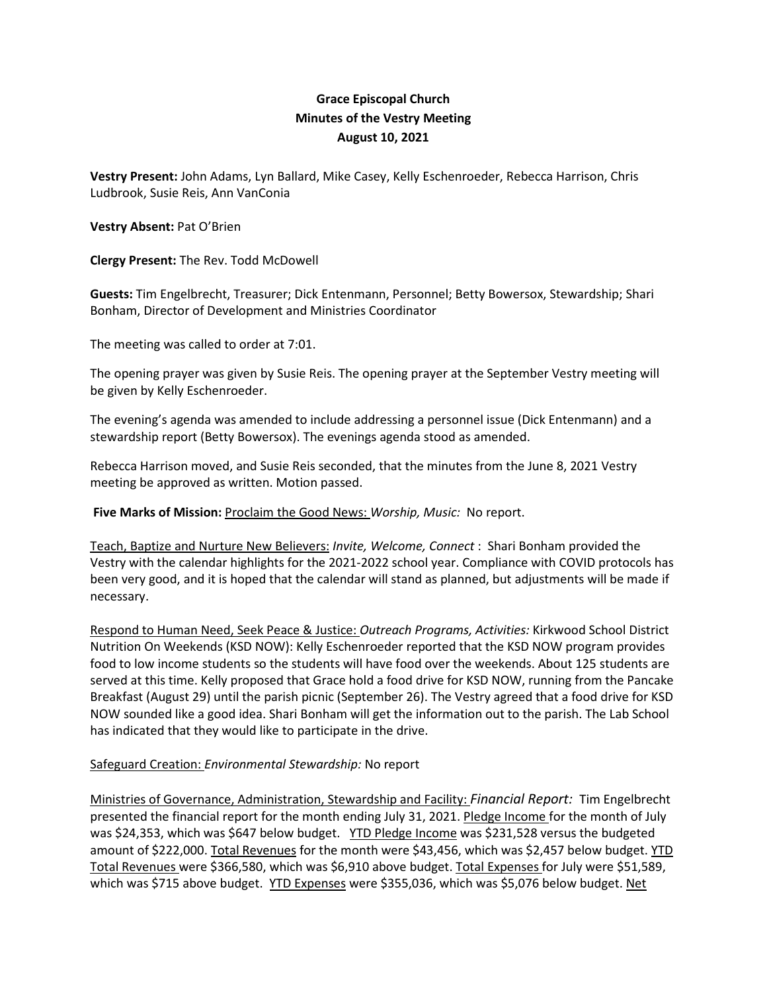## **Grace Episcopal Church Minutes of the Vestry Meeting August 10, 2021**

**Vestry Present:** John Adams, Lyn Ballard, Mike Casey, Kelly Eschenroeder, Rebecca Harrison, Chris Ludbrook, Susie Reis, Ann VanConia

## **Vestry Absent:** Pat O'Brien

**Clergy Present:** The Rev. Todd McDowell

**Guests:** Tim Engelbrecht, Treasurer; Dick Entenmann, Personnel; Betty Bowersox, Stewardship; Shari Bonham, Director of Development and Ministries Coordinator

The meeting was called to order at 7:01.

The opening prayer was given by Susie Reis. The opening prayer at the September Vestry meeting will be given by Kelly Eschenroeder.

The evening's agenda was amended to include addressing a personnel issue (Dick Entenmann) and a stewardship report (Betty Bowersox). The evenings agenda stood as amended.

Rebecca Harrison moved, and Susie Reis seconded, that the minutes from the June 8, 2021 Vestry meeting be approved as written. Motion passed.

**Five Marks of Mission:** Proclaim the Good News: *Worship, Music:* No report.

Teach, Baptize and Nurture New Believers: *Invite, Welcome, Connect* : Shari Bonham provided the Vestry with the calendar highlights for the 2021-2022 school year. Compliance with COVID protocols has been very good, and it is hoped that the calendar will stand as planned, but adjustments will be made if necessary.

Respond to Human Need, Seek Peace & Justice: *Outreach Programs, Activities:* Kirkwood School District Nutrition On Weekends (KSD NOW): Kelly Eschenroeder reported that the KSD NOW program provides food to low income students so the students will have food over the weekends. About 125 students are served at this time. Kelly proposed that Grace hold a food drive for KSD NOW, running from the Pancake Breakfast (August 29) until the parish picnic (September 26). The Vestry agreed that a food drive for KSD NOW sounded like a good idea. Shari Bonham will get the information out to the parish. The Lab School has indicated that they would like to participate in the drive.

## Safeguard Creation: *Environmental Stewardship:* No report

Ministries of Governance, Administration, Stewardship and Facility: *Financial Report:* Tim Engelbrecht presented the financial report for the month ending July 31, 2021. Pledge Income for the month of July was \$24,353, which was \$647 below budget. YTD Pledge Income was \$231,528 versus the budgeted amount of \$222,000. Total Revenues for the month were \$43,456, which was \$2,457 below budget. YTD Total Revenues were \$366,580, which was \$6,910 above budget. Total Expenses for July were \$51,589, which was \$715 above budget. YTD Expenses were \$355,036, which was \$5,076 below budget. Net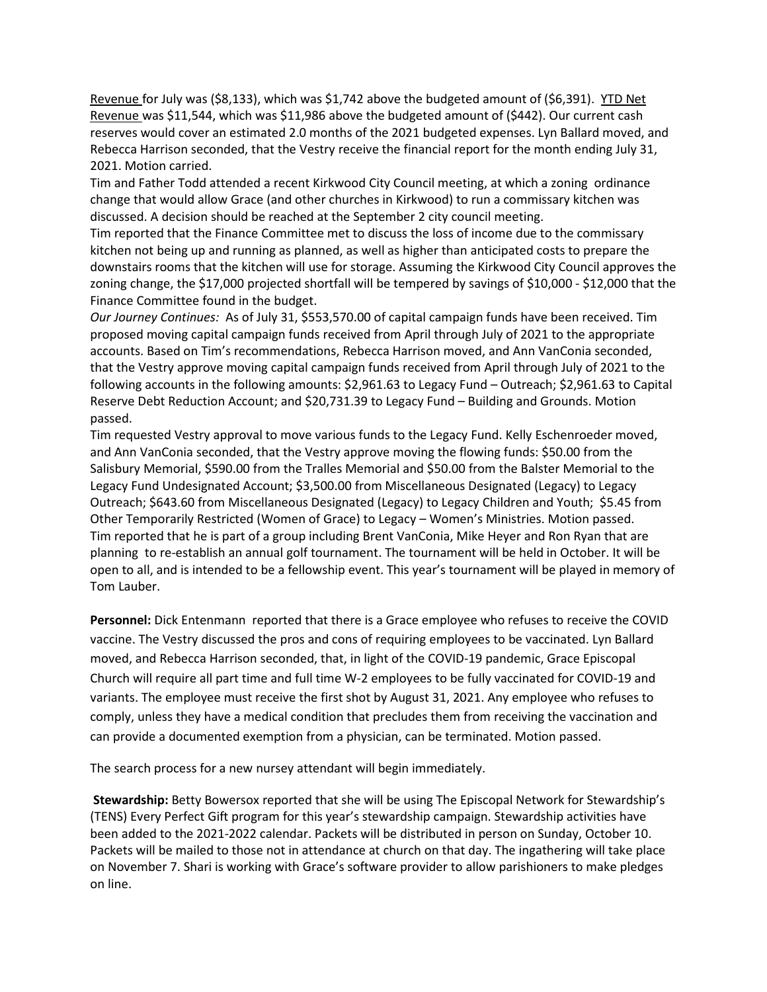Revenue for July was (\$8,133), which was \$1,742 above the budgeted amount of (\$6,391). YTD Net Revenue was \$11,544, which was \$11,986 above the budgeted amount of (\$442). Our current cash reserves would cover an estimated 2.0 months of the 2021 budgeted expenses. Lyn Ballard moved, and Rebecca Harrison seconded, that the Vestry receive the financial report for the month ending July 31, 2021. Motion carried.

Tim and Father Todd attended a recent Kirkwood City Council meeting, at which a zoning ordinance change that would allow Grace (and other churches in Kirkwood) to run a commissary kitchen was discussed. A decision should be reached at the September 2 city council meeting.

Tim reported that the Finance Committee met to discuss the loss of income due to the commissary kitchen not being up and running as planned, as well as higher than anticipated costs to prepare the downstairs rooms that the kitchen will use for storage. Assuming the Kirkwood City Council approves the zoning change, the \$17,000 projected shortfall will be tempered by savings of \$10,000 - \$12,000 that the Finance Committee found in the budget.

*Our Journey Continues:* As of July 31, \$553,570.00 of capital campaign funds have been received. Tim proposed moving capital campaign funds received from April through July of 2021 to the appropriate accounts. Based on Tim's recommendations, Rebecca Harrison moved, and Ann VanConia seconded, that the Vestry approve moving capital campaign funds received from April through July of 2021 to the following accounts in the following amounts: \$2,961.63 to Legacy Fund – Outreach; \$2,961.63 to Capital Reserve Debt Reduction Account; and \$20,731.39 to Legacy Fund – Building and Grounds. Motion passed.

Tim requested Vestry approval to move various funds to the Legacy Fund. Kelly Eschenroeder moved, and Ann VanConia seconded, that the Vestry approve moving the flowing funds: \$50.00 from the Salisbury Memorial, \$590.00 from the Tralles Memorial and \$50.00 from the Balster Memorial to the Legacy Fund Undesignated Account; \$3,500.00 from Miscellaneous Designated (Legacy) to Legacy Outreach; \$643.60 from Miscellaneous Designated (Legacy) to Legacy Children and Youth; \$5.45 from Other Temporarily Restricted (Women of Grace) to Legacy – Women's Ministries. Motion passed. Tim reported that he is part of a group including Brent VanConia, Mike Heyer and Ron Ryan that are planning to re-establish an annual golf tournament. The tournament will be held in October. It will be open to all, and is intended to be a fellowship event. This year's tournament will be played in memory of Tom Lauber.

**Personnel:** Dick Entenmann reported that there is a Grace employee who refuses to receive the COVID vaccine. The Vestry discussed the pros and cons of requiring employees to be vaccinated. Lyn Ballard moved, and Rebecca Harrison seconded, that, in light of the COVID-19 pandemic, Grace Episcopal Church will require all part time and full time W-2 employees to be fully vaccinated for COVID-19 and variants. The employee must receive the first shot by August 31, 2021. Any employee who refuses to comply, unless they have a medical condition that precludes them from receiving the vaccination and can provide a documented exemption from a physician, can be terminated. Motion passed.

The search process for a new nursey attendant will begin immediately.

**Stewardship:** Betty Bowersox reported that she will be using The Episcopal Network for Stewardship's (TENS) Every Perfect Gift program for this year's stewardship campaign. Stewardship activities have been added to the 2021-2022 calendar. Packets will be distributed in person on Sunday, October 10. Packets will be mailed to those not in attendance at church on that day. The ingathering will take place on November 7. Shari is working with Grace's software provider to allow parishioners to make pledges on line.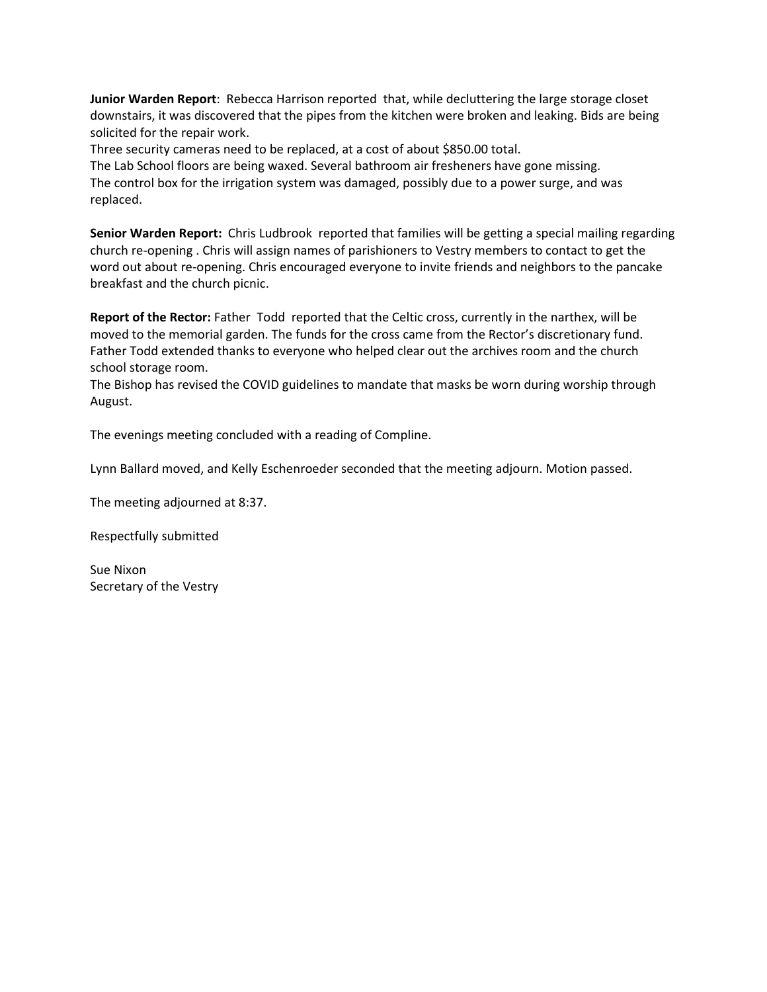**Junior Warden Report**: Rebecca Harrison reported that, while decluttering the large storage closet downstairs, it was discovered that the pipes from the kitchen were broken and leaking. Bids are being solicited for the repair work.

Three security cameras need to be replaced, at a cost of about \$850.00 total.

The Lab School floors are being waxed. Several bathroom air fresheners have gone missing. The control box for the irrigation system was damaged, possibly due to a power surge, and was replaced.

**Senior Warden Report:** Chris Ludbrook reported that families will be getting a special mailing regarding church re-opening . Chris will assign names of parishioners to Vestry members to contact to get the word out about re-opening. Chris encouraged everyone to invite friends and neighbors to the pancake breakfast and the church picnic.

**Report of the Rector:** Father Todd reported that the Celtic cross, currently in the narthex, will be moved to the memorial garden. The funds for the cross came from the Rector's discretionary fund. Father Todd extended thanks to everyone who helped clear out the archives room and the church school storage room.

The Bishop has revised the COVID guidelines to mandate that masks be worn during worship through August.

The evenings meeting concluded with a reading of Compline.

Lynn Ballard moved, and Kelly Eschenroeder seconded that the meeting adjourn. Motion passed.

The meeting adjourned at 8:37.

Respectfully submitted

Sue Nixon Secretary of the Vestry